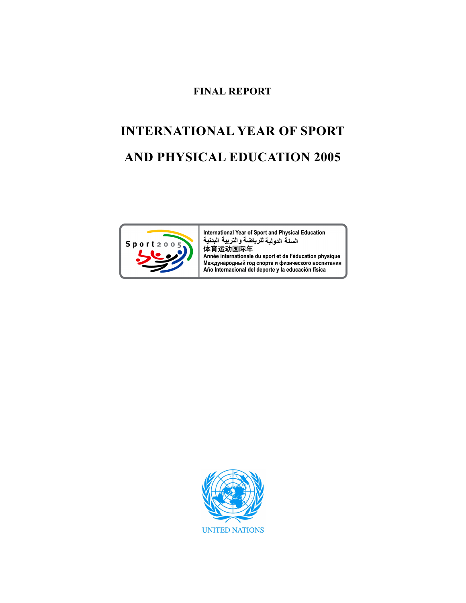# FINAL REPORT

# INTERNATIONAL YEAR OF SPORT AND PHYSICAL EDUCATION 2005



International Year of Sport and Physical Education السنة الدولية للرياضة والتربية البدنية 体育运动国际年 Année internationale du sport et de l'éducation physique Международный год спорта и физического воспитания Año Internacional del deporte y la educación física

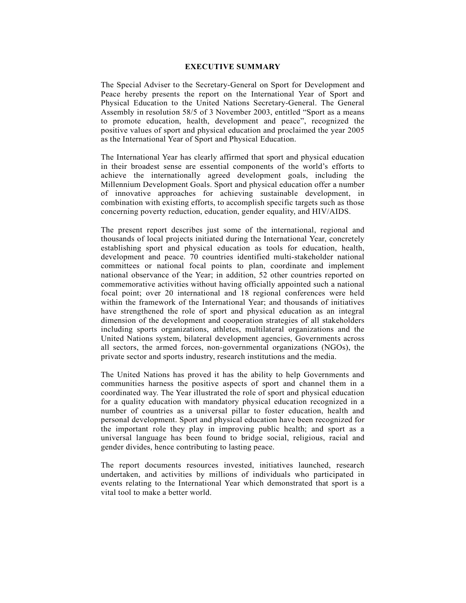# EXECUTIVE SUMMARY

The Special Adviser to the Secretary-General on Sport for Development and Peace hereby presents the report on the International Year of Sport and Physical Education to the United Nations Secretary-General. The General Assembly in resolution 58/5 of 3 November 2003, entitled "Sport as a means to promote education, health, development and peace", recognized the positive values of sport and physical education and proclaimed the year 2005 as the International Year of Sport and Physical Education.

The International Year has clearly affirmed that sport and physical education in their broadest sense are essential components of the world's efforts to achieve the internationally agreed development goals, including the Millennium Development Goals. Sport and physical education offer a number of innovative approaches for achieving sustainable development, in combination with existing efforts, to accomplish specific targets such as those concerning poverty reduction, education, gender equality, and HIV/AIDS.

The present report describes just some of the international, regional and thousands of local projects initiated during the International Year, concretely establishing sport and physical education as tools for education, health, development and peace. 70 countries identified multi-stakeholder national committees or national focal points to plan, coordinate and implement national observance of the Year; in addition, 52 other countries reported on commemorative activities without having officially appointed such a national focal point; over 20 international and 18 regional conferences were held within the framework of the International Year; and thousands of initiatives have strengthened the role of sport and physical education as an integral dimension of the development and cooperation strategies of all stakeholders including sports organizations, athletes, multilateral organizations and the United Nations system, bilateral development agencies, Governments across all sectors, the armed forces, non-governmental organizations (NGOs), the private sector and sports industry, research institutions and the media.

The United Nations has proved it has the ability to help Governments and communities harness the positive aspects of sport and channel them in a coordinated way. The Year illustrated the role of sport and physical education for a quality education with mandatory physical education recognized in a number of countries as a universal pillar to foster education, health and personal development. Sport and physical education have been recognized for the important role they play in improving public health; and sport as a universal language has been found to bridge social, religious, racial and gender divides, hence contributing to lasting peace.

The report documents resources invested, initiatives launched, research undertaken, and activities by millions of individuals who participated in events relating to the International Year which demonstrated that sport is a vital tool to make a better world.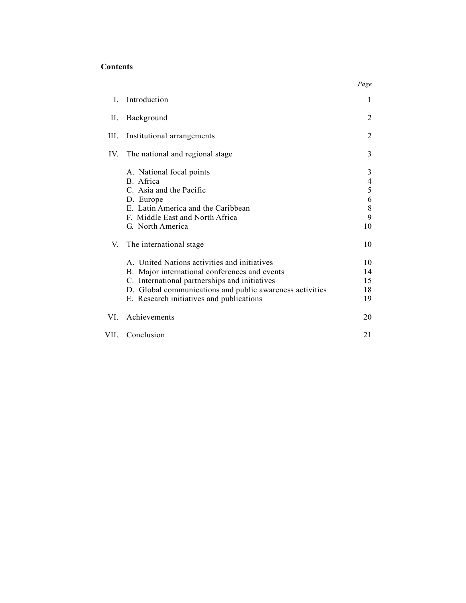# Contents

|      |                                                                                                                                                                                                                                                        | Page                             |
|------|--------------------------------------------------------------------------------------------------------------------------------------------------------------------------------------------------------------------------------------------------------|----------------------------------|
| L    | Introduction                                                                                                                                                                                                                                           | 1                                |
| П.   | Background                                                                                                                                                                                                                                             | 2                                |
| Ш.   | Institutional arrangements                                                                                                                                                                                                                             | 2                                |
|      | IV. The national and regional stage                                                                                                                                                                                                                    | 3                                |
|      | A. National focal points<br>B. Africa<br>C. Asia and the Pacific<br>D. Europe<br>E. Latin America and the Caribbean<br>F. Middle East and North Africa<br>G. North America                                                                             | 3<br>4<br>5<br>6<br>8<br>9<br>10 |
| V.   | The international stage                                                                                                                                                                                                                                | 10                               |
|      | A. United Nations activities and initiatives<br>B. Major international conferences and events<br>C. International partnerships and initiatives<br>D. Global communications and public awareness activities<br>E. Research initiatives and publications | 10<br>14<br>15<br>18<br>19       |
| VL.  | Achievements                                                                                                                                                                                                                                           | 20                               |
| VII. | Conclusion                                                                                                                                                                                                                                             | 21                               |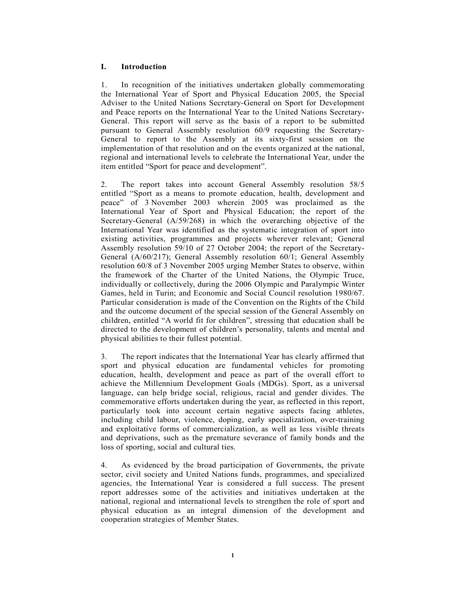# I. Introduction

1. In recognition of the initiatives undertaken globally commemorating the International Year of Sport and Physical Education 2005, the Special Adviser to the United Nations Secretary-General on Sport for Development and Peace reports on the International Year to the United Nations Secretary-General. This report will serve as the basis of a report to be submitted pursuant to General Assembly resolution 60/9 requesting the Secretary-General to report to the Assembly at its sixty-first session on the implementation of that resolution and on the events organized at the national, regional and international levels to celebrate the International Year, under the item entitled "Sport for peace and development".

2. The report takes into account General Assembly resolution 58/5 entitled "Sport as a means to promote education, health, development and peace" of 3 November 2003 wherein 2005 was proclaimed as the International Year of Sport and Physical Education; the report of the Secretary-General (A/59/268) in which the overarching objective of the International Year was identified as the systematic integration of sport into existing activities, programmes and projects wherever relevant; General Assembly resolution 59/10 of 27 October 2004; the report of the Secretary-General (A/60/217); General Assembly resolution 60/1; General Assembly resolution 60/8 of 3 November 2005 urging Member States to observe, within the framework of the Charter of the United Nations, the Olympic Truce, individually or collectively, during the 2006 Olympic and Paralympic Winter Games, held in Turin; and Economic and Social Council resolution 1980/67. Particular consideration is made of the Convention on the Rights of the Child and the outcome document of the special session of the General Assembly on children, entitled "A world fit for children", stressing that education shall be directed to the development of children's personality, talents and mental and physical abilities to their fullest potential.

3. The report indicates that the International Year has clearly affirmed that sport and physical education are fundamental vehicles for promoting education, health, development and peace as part of the overall effort to achieve the Millennium Development Goals (MDGs). Sport, as a universal language, can help bridge social, religious, racial and gender divides. The commemorative efforts undertaken during the year, as reflected in this report, particularly took into account certain negative aspects facing athletes, including child labour, violence, doping, early specialization, over-training and exploitative forms of commercialization, as well as less visible threats and deprivations, such as the premature severance of family bonds and the loss of sporting, social and cultural ties.

4. As evidenced by the broad participation of Governments, the private sector, civil society and United Nations funds, programmes, and specialized agencies, the International Year is considered a full success. The present report addresses some of the activities and initiatives undertaken at the national, regional and international levels to strengthen the role of sport and physical education as an integral dimension of the development and cooperation strategies of Member States.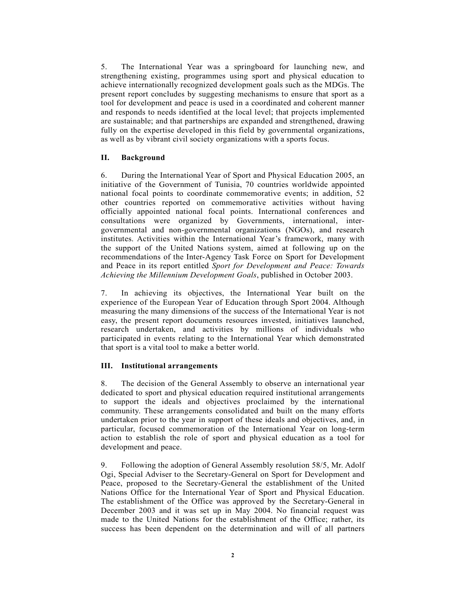5. The International Year was a springboard for launching new, and strengthening existing, programmes using sport and physical education to achieve internationally recognized development goals such as the MDGs. The present report concludes by suggesting mechanisms to ensure that sport as a tool for development and peace is used in a coordinated and coherent manner and responds to needs identified at the local level; that projects implemented are sustainable; and that partnerships are expanded and strengthened, drawing fully on the expertise developed in this field by governmental organizations, as well as by vibrant civil society organizations with a sports focus.

# II. Background

6. During the International Year of Sport and Physical Education 2005, an initiative of the Government of Tunisia, 70 countries worldwide appointed national focal points to coordinate commemorative events; in addition, 52 other countries reported on commemorative activities without having officially appointed national focal points. International conferences and consultations were organized by Governments, international, intergovernmental and non-governmental organizations (NGOs), and research institutes. Activities within the International Year's framework, many with the support of the United Nations system, aimed at following up on the recommendations of the Inter-Agency Task Force on Sport for Development and Peace in its report entitled Sport for Development and Peace: Towards Achieving the Millennium Development Goals, published in October 2003.

7. In achieving its objectives, the International Year built on the experience of the European Year of Education through Sport 2004. Although measuring the many dimensions of the success of the International Year is not easy, the present report documents resources invested, initiatives launched, research undertaken, and activities by millions of individuals who participated in events relating to the International Year which demonstrated that sport is a vital tool to make a better world.

#### III. Institutional arrangements

8. The decision of the General Assembly to observe an international year dedicated to sport and physical education required institutional arrangements to support the ideals and objectives proclaimed by the international community. These arrangements consolidated and built on the many efforts undertaken prior to the year in support of these ideals and objectives, and, in particular, focused commemoration of the International Year on long-term action to establish the role of sport and physical education as a tool for development and peace.

9. Following the adoption of General Assembly resolution 58/5, Mr. Adolf Ogi, Special Adviser to the Secretary-General on Sport for Development and Peace, proposed to the Secretary-General the establishment of the United Nations Office for the International Year of Sport and Physical Education. The establishment of the Office was approved by the Secretary-General in December 2003 and it was set up in May 2004. No financial request was made to the United Nations for the establishment of the Office; rather, its success has been dependent on the determination and will of all partners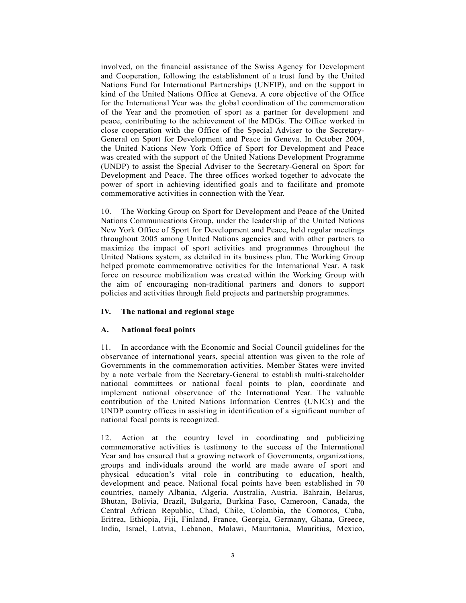involved, on the financial assistance of the Swiss Agency for Development and Cooperation, following the establishment of a trust fund by the United Nations Fund for International Partnerships (UNFIP), and on the support in kind of the United Nations Office at Geneva. A core objective of the Office for the International Year was the global coordination of the commemoration of the Year and the promotion of sport as a partner for development and peace, contributing to the achievement of the MDGs. The Office worked in close cooperation with the Office of the Special Adviser to the Secretary-General on Sport for Development and Peace in Geneva. In October 2004, the United Nations New York Office of Sport for Development and Peace was created with the support of the United Nations Development Programme (UNDP) to assist the Special Adviser to the Secretary-General on Sport for Development and Peace. The three offices worked together to advocate the power of sport in achieving identified goals and to facilitate and promote commemorative activities in connection with the Year.

10. The Working Group on Sport for Development and Peace of the United Nations Communications Group, under the leadership of the United Nations New York Office of Sport for Development and Peace, held regular meetings throughout 2005 among United Nations agencies and with other partners to maximize the impact of sport activities and programmes throughout the United Nations system, as detailed in its business plan. The Working Group helped promote commemorative activities for the International Year. A task force on resource mobilization was created within the Working Group with the aim of encouraging non-traditional partners and donors to support policies and activities through field projects and partnership programmes.

#### IV. The national and regional stage

#### A. National focal points

11. In accordance with the Economic and Social Council guidelines for the observance of international years, special attention was given to the role of Governments in the commemoration activities. Member States were invited by a note verbale from the Secretary-General to establish multi-stakeholder national committees or national focal points to plan, coordinate and implement national observance of the International Year. The valuable contribution of the United Nations Information Centres (UNICs) and the UNDP country offices in assisting in identification of a significant number of national focal points is recognized.

12. Action at the country level in coordinating and publicizing commemorative activities is testimony to the success of the International Year and has ensured that a growing network of Governments, organizations, groups and individuals around the world are made aware of sport and physical education's vital role in contributing to education, health, development and peace. National focal points have been established in 70 countries, namely Albania, Algeria, Australia, Austria, Bahrain, Belarus, Bhutan, Bolivia, Brazil, Bulgaria, Burkina Faso, Cameroon, Canada, the Central African Republic, Chad, Chile, Colombia, the Comoros, Cuba, Eritrea, Ethiopia, Fiji, Finland, France, Georgia, Germany, Ghana, Greece, India, Israel, Latvia, Lebanon, Malawi, Mauritania, Mauritius, Mexico,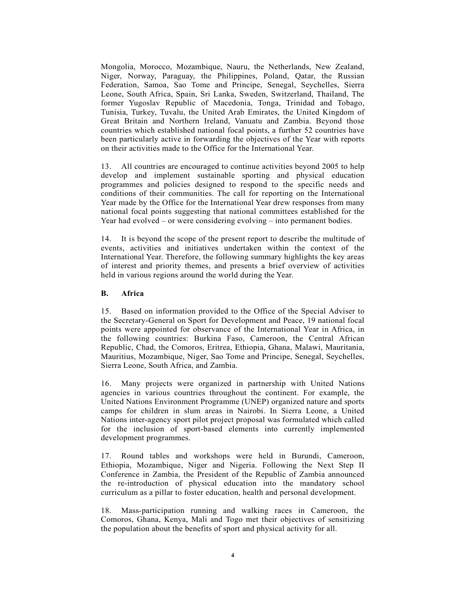Mongolia, Morocco, Mozambique, Nauru, the Netherlands, New Zealand, Niger, Norway, Paraguay, the Philippines, Poland, Qatar, the Russian Federation, Samoa, Sao Tome and Principe, Senegal, Seychelles, Sierra Leone, South Africa, Spain, Sri Lanka, Sweden, Switzerland, Thailand, The former Yugoslav Republic of Macedonia, Tonga, Trinidad and Tobago, Tunisia, Turkey, Tuvalu, the United Arab Emirates, the United Kingdom of Great Britain and Northern Ireland, Vanuatu and Zambia. Beyond those countries which established national focal points, a further 52 countries have been particularly active in forwarding the objectives of the Year with reports on their activities made to the Office for the International Year.

13. All countries are encouraged to continue activities beyond 2005 to help develop and implement sustainable sporting and physical education programmes and policies designed to respond to the specific needs and conditions of their communities. The call for reporting on the International Year made by the Office for the International Year drew responses from many national focal points suggesting that national committees established for the Year had evolved – or were considering evolving – into permanent bodies.

14. It is beyond the scope of the present report to describe the multitude of events, activities and initiatives undertaken within the context of the International Year. Therefore, the following summary highlights the key areas of interest and priority themes, and presents a brief overview of activities held in various regions around the world during the Year.

# B. Africa

15. Based on information provided to the Office of the Special Adviser to the Secretary-General on Sport for Development and Peace, 19 national focal points were appointed for observance of the International Year in Africa, in the following countries: Burkina Faso, Cameroon, the Central African Republic, Chad, the Comoros, Eritrea, Ethiopia, Ghana, Malawi, Mauritania, Mauritius, Mozambique, Niger, Sao Tome and Principe, Senegal, Seychelles, Sierra Leone, South Africa, and Zambia.

16. Many projects were organized in partnership with United Nations agencies in various countries throughout the continent. For example, the United Nations Environment Programme (UNEP) organized nature and sports camps for children in slum areas in Nairobi. In Sierra Leone, a United Nations inter-agency sport pilot project proposal was formulated which called for the inclusion of sport-based elements into currently implemented development programmes.

17. Round tables and workshops were held in Burundi, Cameroon, Ethiopia, Mozambique, Niger and Nigeria. Following the Next Step II Conference in Zambia, the President of the Republic of Zambia announced the re-introduction of physical education into the mandatory school curriculum as a pillar to foster education, health and personal development.

18. Mass-participation running and walking races in Cameroon, the Comoros, Ghana, Kenya, Mali and Togo met their objectives of sensitizing the population about the benefits of sport and physical activity for all.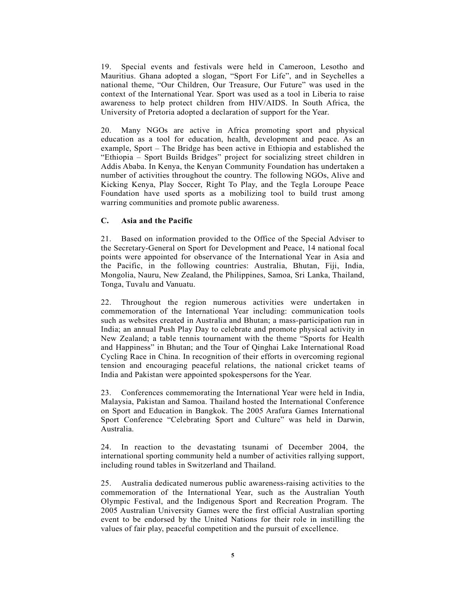19. Special events and festivals were held in Cameroon, Lesotho and Mauritius. Ghana adopted a slogan, "Sport For Life", and in Seychelles a national theme, "Our Children, Our Treasure, Our Future" was used in the context of the International Year. Sport was used as a tool in Liberia to raise awareness to help protect children from HIV/AIDS. In South Africa, the University of Pretoria adopted a declaration of support for the Year.

20. Many NGOs are active in Africa promoting sport and physical education as a tool for education, health, development and peace. As an example, Sport – The Bridge has been active in Ethiopia and established the "Ethiopia – Sport Builds Bridges" project for socializing street children in Addis Ababa. In Kenya, the Kenyan Community Foundation has undertaken a number of activities throughout the country. The following NGOs, Alive and Kicking Kenya, Play Soccer, Right To Play, and the Tegla Loroupe Peace Foundation have used sports as a mobilizing tool to build trust among warring communities and promote public awareness.

# C. Asia and the Pacific

21. Based on information provided to the Office of the Special Adviser to the Secretary-General on Sport for Development and Peace, 14 national focal points were appointed for observance of the International Year in Asia and the Pacific, in the following countries: Australia, Bhutan, Fiji, India, Mongolia, Nauru, New Zealand, the Philippines, Samoa, Sri Lanka, Thailand, Tonga, Tuvalu and Vanuatu.

22. Throughout the region numerous activities were undertaken in commemoration of the International Year including: communication tools such as websites created in Australia and Bhutan; a mass-participation run in India; an annual Push Play Day to celebrate and promote physical activity in New Zealand; a table tennis tournament with the theme "Sports for Health and Happiness" in Bhutan; and the Tour of Qinghai Lake International Road Cycling Race in China. In recognition of their efforts in overcoming regional tension and encouraging peaceful relations, the national cricket teams of India and Pakistan were appointed spokespersons for the Year.

23. Conferences commemorating the International Year were held in India, Malaysia, Pakistan and Samoa. Thailand hosted the International Conference on Sport and Education in Bangkok. The 2005 Arafura Games International Sport Conference "Celebrating Sport and Culture" was held in Darwin, Australia.

24. In reaction to the devastating tsunami of December 2004, the international sporting community held a number of activities rallying support, including round tables in Switzerland and Thailand.

25. Australia dedicated numerous public awareness-raising activities to the commemoration of the International Year, such as the Australian Youth Olympic Festival, and the Indigenous Sport and Recreation Program. The 2005 Australian University Games were the first official Australian sporting event to be endorsed by the United Nations for their role in instilling the values of fair play, peaceful competition and the pursuit of excellence.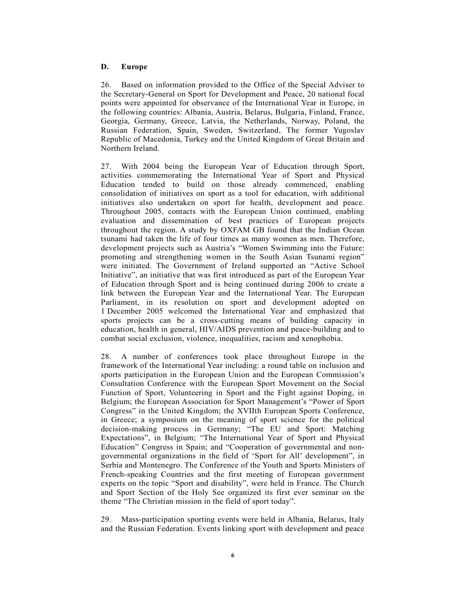# D. Europe

26. Based on information provided to the Office of the Special Adviser to the Secretary-General on Sport for Development and Peace, 20 national focal points were appointed for observance of the International Year in Europe, in the following countries: Albania, Austria, Belarus, Bulgaria, Finland, France, Georgia, Germany, Greece, Latvia, the Netherlands, Norway, Poland, the Russian Federation, Spain, Sweden, Switzerland, The former Yugoslav Republic of Macedonia, Turkey and the United Kingdom of Great Britain and Northern Ireland.

27. With 2004 being the European Year of Education through Sport, activities commemorating the International Year of Sport and Physical Education tended to build on those already commenced, enabling consolidation of initiatives on sport as a tool for education, with additional initiatives also undertaken on sport for health, development and peace. Throughout 2005, contacts with the European Union continued, enabling evaluation and dissemination of best practices of European projects throughout the region. A study by OXFAM GB found that the Indian Ocean tsunami had taken the life of four times as many women as men. Therefore, development projects such as Austria's "Women Swimming into the Future: promoting and strengthening women in the South Asian Tsunami region" were initiated. The Government of Ireland supported an "Active School Initiative", an initiative that was first introduced as part of the European Year of Education through Sport and is being continued during 2006 to create a link between the European Year and the International Year. The European Parliament, in its resolution on sport and development adopted on 1 December 2005 welcomed the International Year and emphasized that sports projects can be a cross-cutting means of building capacity in education, health in general, HIV/AIDS prevention and peace-building and to combat social exclusion, violence, inequalities, racism and xenophobia.

28. A number of conferences took place throughout Europe in the framework of the International Year including: a round table on inclusion and sports participation in the European Union and the European Commission's Consultation Conference with the European Sport Movement on the Social Function of Sport, Volunteering in Sport and the Fight against Doping, in Belgium; the European Association for Sport Management's "Power of Sport Congress" in the United Kingdom; the XVIIth European Sports Conference, in Greece; a symposium on the meaning of sport science for the political decision-making process in Germany; "The EU and Sport: Matching Expectations", in Belgium; "The International Year of Sport and Physical Education" Congress in Spain; and "Cooperation of governmental and nongovernmental organizations in the field of 'Sport for All' development", in Serbia and Montenegro. The Conference of the Youth and Sports Ministers of French-speaking Countries and the first meeting of European government experts on the topic "Sport and disability", were held in France. The Church and Sport Section of the Holy See organized its first ever seminar on the theme "The Christian mission in the field of sport today".

29. Mass-participation sporting events were held in Albania, Belarus, Italy and the Russian Federation. Events linking sport with development and peace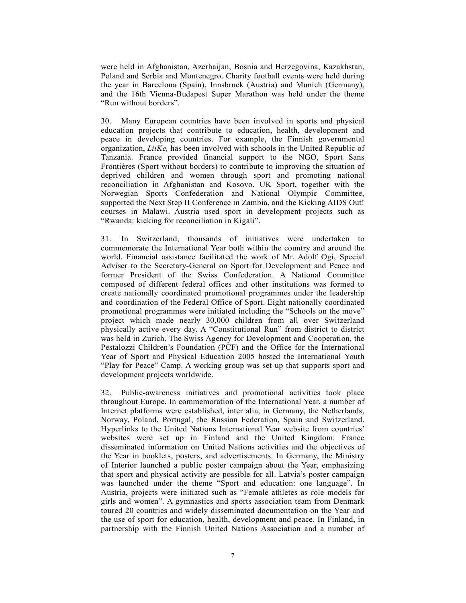were held in Afghanistan, Azerbaijan, Bosnia and Herzegovina, Kazakhstan, Poland and Serbia and Montenegro. Charity football events were held during the year in Barcelona (Spain), Innsbruck (Austria) and Munich (Germany), and the 16th Vienna-Budapest Super Marathon was held under the theme "Run without borders".

30. Many European countries have been involved in sports and physical education projects that contribute to education, health, development and peace in developing countries. For example, the Finnish governmental organization, LiiKe, has been involved with schools in the United Republic of Tanzania. France provided financial support to the NGO, Sport Sans Frontières (Sport without borders) to contribute to improving the situation of deprived children and women through sport and promoting national reconciliation in Afghanistan and Kosovo. UK Sport, together with the Norwegian Sports Confederation and National Olympic Committee, supported the Next Step II Conference in Zambia, and the Kicking AIDS Out! courses in Malawi. Austria used sport in development projects such as "Rwanda: kicking for reconciliation in Kigali".

31. In Switzerland, thousands of initiatives were undertaken to commemorate the International Year both within the country and around the world. Financial assistance facilitated the work of Mr. Adolf Ogi, Special Adviser to the Secretary-General on Sport for Development and Peace and former President of the Swiss Confederation. A National Committee composed of different federal offices and other institutions was formed to create nationally coordinated promotional programmes under the leadership and coordination of the Federal Office of Sport. Eight nationally coordinated promotional programmes were initiated including the "Schools on the move" project which made nearly 30,000 children from all over Switzerland physically active every day. A "Constitutional Run" from district to district was held in Zurich. The Swiss Agency for Development and Cooperation, the Pestalozzi Children's Foundation (PCF) and the Office for the International Year of Sport and Physical Education 2005 hosted the International Youth "Play for Peace" Camp. A working group was set up that supports sport and development projects worldwide.

32. Public-awareness initiatives and promotional activities took place throughout Europe. In commemoration of the International Year, a number of Internet platforms were established, inter alia, in Germany, the Netherlands, Norway, Poland, Portugal, the Russian Federation, Spain and Switzerland. Hyperlinks to the United Nations International Year website from countries' websites were set up in Finland and the United Kingdom. France disseminated information on United Nations activities and the objectives of the Year in booklets, posters, and advertisements. In Germany, the Ministry of Interior launched a public poster campaign about the Year, emphasizing that sport and physical activity are possible for all. Latvia's poster campaign was launched under the theme "Sport and education: one language". In Austria, projects were initiated such as "Female athletes as role models for girls and women". A gymnastics and sports association team from Denmark toured 20 countries and widely disseminated documentation on the Year and the use of sport for education, health, development and peace. In Finland, in partnership with the Finnish United Nations Association and a number of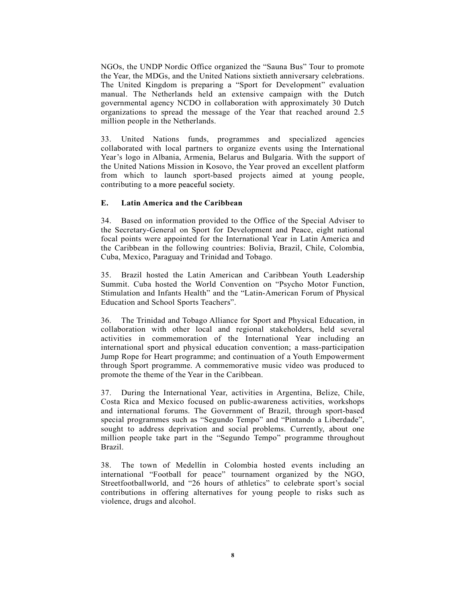NGOs, the UNDP Nordic Office organized the "Sauna Bus" Tour to promote the Year, the MDGs, and the United Nations sixtieth anniversary celebrations. The United Kingdom is preparing a "Sport for Development" evaluation manual. The Netherlands held an extensive campaign with the Dutch governmental agency NCDO in collaboration with approximately 30 Dutch organizations to spread the message of the Year that reached around 2.5 million people in the Netherlands.

33. United Nations funds, programmes and specialized agencies collaborated with local partners to organize events using the International Year's logo in Albania, Armenia, Belarus and Bulgaria. With the support of the United Nations Mission in Kosovo, the Year proved an excellent platform from which to launch sport-based projects aimed at young people, contributing to a more peaceful society.

# E. Latin America and the Caribbean

34. Based on information provided to the Office of the Special Adviser to the Secretary-General on Sport for Development and Peace, eight national focal points were appointed for the International Year in Latin America and the Caribbean in the following countries: Bolivia, Brazil, Chile, Colombia, Cuba, Mexico, Paraguay and Trinidad and Tobago.

35. Brazil hosted the Latin American and Caribbean Youth Leadership Summit. Cuba hosted the World Convention on "Psycho Motor Function, Stimulation and Infants Health" and the "Latin-American Forum of Physical Education and School Sports Teachers".

36. The Trinidad and Tobago Alliance for Sport and Physical Education, in collaboration with other local and regional stakeholders, held several activities in commemoration of the International Year including an international sport and physical education convention; a mass-participation Jump Rope for Heart programme; and continuation of a Youth Empowerment through Sport programme. A commemorative music video was produced to promote the theme of the Year in the Caribbean.

37. During the International Year, activities in Argentina, Belize, Chile, Costa Rica and Mexico focused on public-awareness activities, workshops and international forums. The Government of Brazil, through sport-based special programmes such as "Segundo Tempo" and "Pintando a Liberdade", sought to address deprivation and social problems. Currently, about one million people take part in the "Segundo Tempo" programme throughout Brazil.

38. The town of Medellín in Colombia hosted events including an international "Football for peace" tournament organized by the NGO, Streetfootballworld, and "26 hours of athletics" to celebrate sport's social contributions in offering alternatives for young people to risks such as violence, drugs and alcohol.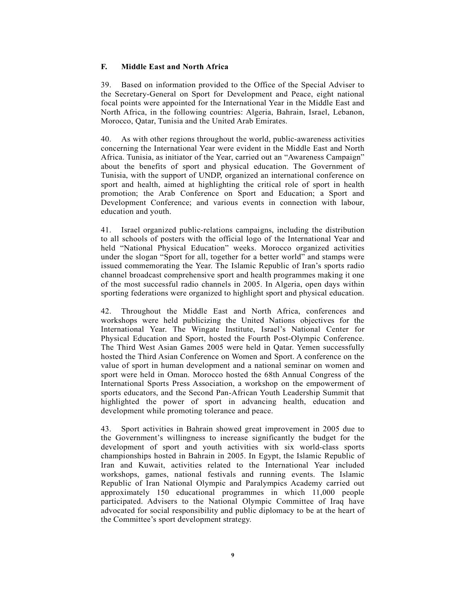# F. Middle East and North Africa

39. Based on information provided to the Office of the Special Adviser to the Secretary-General on Sport for Development and Peace, eight national focal points were appointed for the International Year in the Middle East and North Africa, in the following countries: Algeria, Bahrain, Israel, Lebanon, Morocco, Qatar, Tunisia and the United Arab Emirates.

40. As with other regions throughout the world, public-awareness activities concerning the International Year were evident in the Middle East and North Africa. Tunisia, as initiator of the Year, carried out an "Awareness Campaign" about the benefits of sport and physical education. The Government of Tunisia, with the support of UNDP, organized an international conference on sport and health, aimed at highlighting the critical role of sport in health promotion; the Arab Conference on Sport and Education; a Sport and Development Conference; and various events in connection with labour, education and youth.

41. Israel organized public-relations campaigns, including the distribution to all schools of posters with the official logo of the International Year and held "National Physical Education" weeks. Morocco organized activities under the slogan "Sport for all, together for a better world" and stamps were issued commemorating the Year. The Islamic Republic of Iran's sports radio channel broadcast comprehensive sport and health programmes making it one of the most successful radio channels in 2005. In Algeria, open days within sporting federations were organized to highlight sport and physical education.

42. Throughout the Middle East and North Africa, conferences and workshops were held publicizing the United Nations objectives for the International Year. The Wingate Institute, Israel's National Center for Physical Education and Sport, hosted the Fourth Post-Olympic Conference. The Third West Asian Games 2005 were held in Qatar. Yemen successfully hosted the Third Asian Conference on Women and Sport. A conference on the value of sport in human development and a national seminar on women and sport were held in Oman. Morocco hosted the 68th Annual Congress of the International Sports Press Association, a workshop on the empowerment of sports educators, and the Second Pan-African Youth Leadership Summit that highlighted the power of sport in advancing health, education and development while promoting tolerance and peace.

43. Sport activities in Bahrain showed great improvement in 2005 due to the Government's willingness to increase significantly the budget for the development of sport and youth activities with six world-class sports championships hosted in Bahrain in 2005. In Egypt, the Islamic Republic of Iran and Kuwait, activities related to the International Year included workshops, games, national festivals and running events. The Islamic Republic of Iran National Olympic and Paralympics Academy carried out approximately 150 educational programmes in which 11,000 people participated. Advisers to the National Olympic Committee of Iraq have advocated for social responsibility and public diplomacy to be at the heart of the Committee's sport development strategy.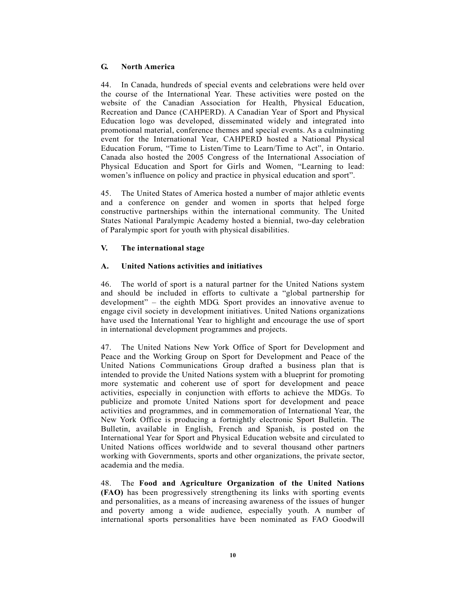# G. North America

44. In Canada, hundreds of special events and celebrations were held over the course of the International Year. These activities were posted on the website of the Canadian Association for Health, Physical Education, Recreation and Dance (CAHPERD). A Canadian Year of Sport and Physical Education logo was developed, disseminated widely and integrated into promotional material, conference themes and special events. As a culminating event for the International Year, CAHPERD hosted a National Physical Education Forum, "Time to Listen/Time to Learn/Time to Act", in Ontario. Canada also hosted the 2005 Congress of the International Association of Physical Education and Sport for Girls and Women, "Learning to lead: women's influence on policy and practice in physical education and sport".

45. The United States of America hosted a number of major athletic events and a conference on gender and women in sports that helped forge constructive partnerships within the international community. The United States National Paralympic Academy hosted a biennial, two-day celebration of Paralympic sport for youth with physical disabilities.

# V. The international stage

# A. United Nations activities and initiatives

46. The world of sport is a natural partner for the United Nations system and should be included in efforts to cultivate a "global partnership for development" – the eighth MDG. Sport provides an innovative avenue to engage civil society in development initiatives. United Nations organizations have used the International Year to highlight and encourage the use of sport in international development programmes and projects.

47. The United Nations New York Office of Sport for Development and Peace and the Working Group on Sport for Development and Peace of the United Nations Communications Group drafted a business plan that is intended to provide the United Nations system with a blueprint for promoting more systematic and coherent use of sport for development and peace activities, especially in conjunction with efforts to achieve the MDGs. To publicize and promote United Nations sport for development and peace activities and programmes, and in commemoration of International Year, the New York Office is producing a fortnightly electronic Sport Bulletin. The Bulletin, available in English, French and Spanish, is posted on the International Year for Sport and Physical Education website and circulated to United Nations offices worldwide and to several thousand other partners working with Governments, sports and other organizations, the private sector, academia and the media.

48. The Food and Agriculture Organization of the United Nations (FAO) has been progressively strengthening its links with sporting events and personalities, as a means of increasing awareness of the issues of hunger and poverty among a wide audience, especially youth. A number of international sports personalities have been nominated as FAO Goodwill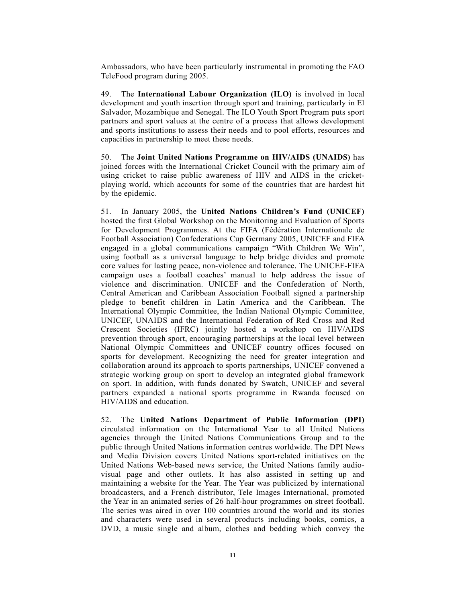Ambassadors, who have been particularly instrumental in promoting the FAO TeleFood program during 2005.

49. The International Labour Organization (ILO) is involved in local development and youth insertion through sport and training, particularly in El Salvador, Mozambique and Senegal. The ILO Youth Sport Program puts sport partners and sport values at the centre of a process that allows development and sports institutions to assess their needs and to pool efforts, resources and capacities in partnership to meet these needs.

50. The Joint United Nations Programme on HIV/AIDS (UNAIDS) has joined forces with the International Cricket Council with the primary aim of using cricket to raise public awareness of HIV and AIDS in the cricketplaying world, which accounts for some of the countries that are hardest hit by the epidemic.

51. In January 2005, the United Nations Children's Fund (UNICEF) hosted the first Global Workshop on the Monitoring and Evaluation of Sports for Development Programmes. At the FIFA (Fédération Internationale de Football Association) Confederations Cup Germany 2005, UNICEF and FIFA engaged in a global communications campaign "With Children We Win", using football as a universal language to help bridge divides and promote core values for lasting peace, non-violence and tolerance. The UNICEF-FIFA campaign uses a football coaches' manual to help address the issue of violence and discrimination. UNICEF and the Confederation of North, Central American and Caribbean Association Football signed a partnership pledge to benefit children in Latin America and the Caribbean. The International Olympic Committee, the Indian National Olympic Committee, UNICEF, UNAIDS and the International Federation of Red Cross and Red Crescent Societies (IFRC) jointly hosted a workshop on HIV/AIDS prevention through sport, encouraging partnerships at the local level between National Olympic Committees and UNICEF country offices focused on sports for development. Recognizing the need for greater integration and collaboration around its approach to sports partnerships, UNICEF convened a strategic working group on sport to develop an integrated global framework on sport. In addition, with funds donated by Swatch, UNICEF and several partners expanded a national sports programme in Rwanda focused on HIV/AIDS and education.

52. The United Nations Department of Public Information (DPI) circulated information on the International Year to all United Nations agencies through the United Nations Communications Group and to the public through United Nations information centres worldwide. The DPI News and Media Division covers United Nations sport-related initiatives on the United Nations Web-based news service, the United Nations family audiovisual page and other outlets. It has also assisted in setting up and maintaining a website for the Year. The Year was publicized by international broadcasters, and a French distributor, Tele Images International, promoted the Year in an animated series of 26 half-hour programmes on street football. The series was aired in over 100 countries around the world and its stories and characters were used in several products including books, comics, a DVD, a music single and album, clothes and bedding which convey the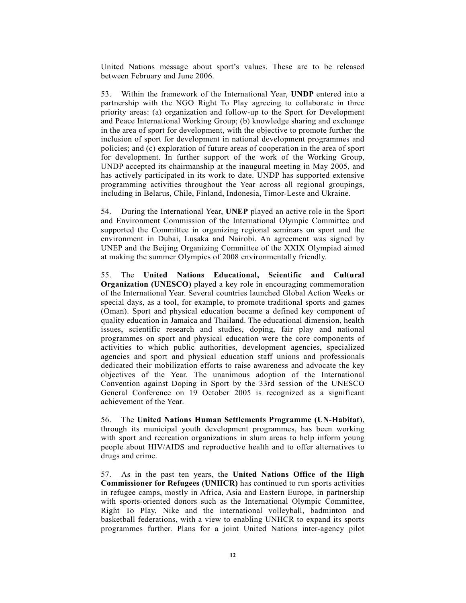United Nations message about sport's values. These are to be released between February and June 2006.

53. Within the framework of the International Year, UNDP entered into a partnership with the NGO Right To Play agreeing to collaborate in three priority areas: (a) organization and follow-up to the Sport for Development and Peace International Working Group; (b) knowledge sharing and exchange in the area of sport for development, with the objective to promote further the inclusion of sport for development in national development programmes and policies; and (c) exploration of future areas of cooperation in the area of sport for development. In further support of the work of the Working Group, UNDP accepted its chairmanship at the inaugural meeting in May 2005, and has actively participated in its work to date. UNDP has supported extensive programming activities throughout the Year across all regional groupings, including in Belarus, Chile, Finland, Indonesia, Timor-Leste and Ukraine.

54. During the International Year, UNEP played an active role in the Sport and Environment Commission of the International Olympic Committee and supported the Committee in organizing regional seminars on sport and the environment in Dubai, Lusaka and Nairobi. An agreement was signed by UNEP and the Beijing Organizing Committee of the XXIX Olympiad aimed at making the summer Olympics of 2008 environmentally friendly.

55. The United Nations Educational, Scientific and Cultural Organization (UNESCO) played a key role in encouraging commemoration of the International Year. Several countries launched Global Action Weeks or special days, as a tool, for example, to promote traditional sports and games (Oman). Sport and physical education became a defined key component of quality education in Jamaica and Thailand. The educational dimension, health issues, scientific research and studies, doping, fair play and national programmes on sport and physical education were the core components of activities to which public authorities, development agencies, specialized agencies and sport and physical education staff unions and professionals dedicated their mobilization efforts to raise awareness and advocate the key objectives of the Year. The unanimous adoption of the International Convention against Doping in Sport by the 33rd session of the UNESCO General Conference on 19 October 2005 is recognized as a significant achievement of the Year.

56. The United Nations Human Settlements Programme (UN-Habitat), through its municipal youth development programmes, has been working with sport and recreation organizations in slum areas to help inform young people about HIV/AIDS and reproductive health and to offer alternatives to drugs and crime.

57. As in the past ten years, the United Nations Office of the High Commissioner for Refugees (UNHCR) has continued to run sports activities in refugee camps, mostly in Africa, Asia and Eastern Europe, in partnership with sports-oriented donors such as the International Olympic Committee, Right To Play, Nike and the international volleyball, badminton and basketball federations, with a view to enabling UNHCR to expand its sports programmes further. Plans for a joint United Nations inter-agency pilot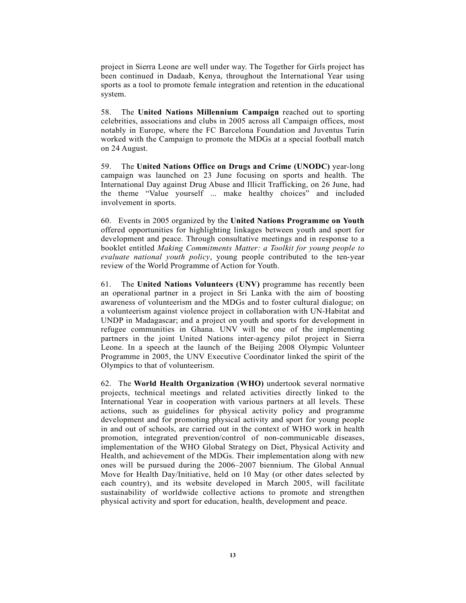project in Sierra Leone are well under way. The Together for Girls project has been continued in Dadaab, Kenya, throughout the International Year using sports as a tool to promote female integration and retention in the educational system.

58. The United Nations Millennium Campaign reached out to sporting celebrities, associations and clubs in 2005 across all Campaign offices, most notably in Europe, where the FC Barcelona Foundation and Juventus Turin worked with the Campaign to promote the MDGs at a special football match on 24 August.

59. The United Nations Office on Drugs and Crime (UNODC) year-long campaign was launched on 23 June focusing on sports and health. The International Day against Drug Abuse and Illicit Trafficking, on 26 June, had the theme "Value yourself ... make healthy choices" and included involvement in sports.

60. Events in 2005 organized by the United Nations Programme on Youth offered opportunities for highlighting linkages between youth and sport for development and peace. Through consultative meetings and in response to a booklet entitled Making Commitments Matter: a Toolkit for young people to evaluate national youth policy, young people contributed to the ten-year review of the World Programme of Action for Youth.

61. The United Nations Volunteers (UNV) programme has recently been an operational partner in a project in Sri Lanka with the aim of boosting awareness of volunteerism and the MDGs and to foster cultural dialogue; on a volunteerism against violence project in collaboration with UN-Habitat and UNDP in Madagascar; and a project on youth and sports for development in refugee communities in Ghana. UNV will be one of the implementing partners in the joint United Nations inter-agency pilot project in Sierra Leone. In a speech at the launch of the Beijing 2008 Olympic Volunteer Programme in 2005, the UNV Executive Coordinator linked the spirit of the Olympics to that of volunteerism.

62. The World Health Organization (WHO) undertook several normative projects, technical meetings and related activities directly linked to the International Year in cooperation with various partners at all levels. These actions, such as guidelines for physical activity policy and programme development and for promoting physical activity and sport for young people in and out of schools, are carried out in the context of WHO work in health promotion, integrated prevention/control of non-communicable diseases, implementation of the WHO Global Strategy on Diet, Physical Activity and Health, and achievement of the MDGs. Their implementation along with new ones will be pursued during the 2006–2007 biennium. The Global Annual Move for Health Day/Initiative, held on 10 May (or other dates selected by each country), and its website developed in March 2005, will facilitate sustainability of worldwide collective actions to promote and strengthen physical activity and sport for education, health, development and peace.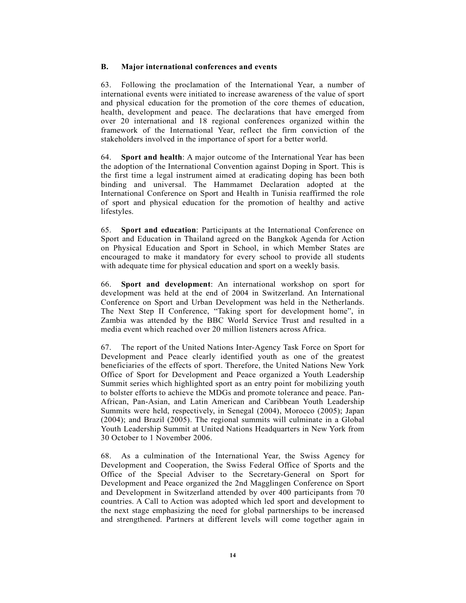# B. Major international conferences and events

63. Following the proclamation of the International Year, a number of international events were initiated to increase awareness of the value of sport and physical education for the promotion of the core themes of education, health, development and peace. The declarations that have emerged from over 20 international and 18 regional conferences organized within the framework of the International Year, reflect the firm conviction of the stakeholders involved in the importance of sport for a better world.

64. Sport and health: A major outcome of the International Year has been the adoption of the International Convention against Doping in Sport. This is the first time a legal instrument aimed at eradicating doping has been both binding and universal. The Hammamet Declaration adopted at the International Conference on Sport and Health in Tunisia reaffirmed the role of sport and physical education for the promotion of healthy and active lifestyles.

65. Sport and education: Participants at the International Conference on Sport and Education in Thailand agreed on the Bangkok Agenda for Action on Physical Education and Sport in School, in which Member States are encouraged to make it mandatory for every school to provide all students with adequate time for physical education and sport on a weekly basis.

66. Sport and development: An international workshop on sport for development was held at the end of 2004 in Switzerland. An International Conference on Sport and Urban Development was held in the Netherlands. The Next Step II Conference, "Taking sport for development home", in Zambia was attended by the BBC World Service Trust and resulted in a media event which reached over 20 million listeners across Africa.

67. The report of the United Nations Inter-Agency Task Force on Sport for Development and Peace clearly identified youth as one of the greatest beneficiaries of the effects of sport. Therefore, the United Nations New York Office of Sport for Development and Peace organized a Youth Leadership Summit series which highlighted sport as an entry point for mobilizing youth to bolster efforts to achieve the MDGs and promote tolerance and peace. Pan-African, Pan-Asian, and Latin American and Caribbean Youth Leadership Summits were held, respectively, in Senegal (2004), Morocco (2005); Japan (2004); and Brazil (2005). The regional summits will culminate in a Global Youth Leadership Summit at United Nations Headquarters in New York from 30 October to 1 November 2006.

68. As a culmination of the International Year, the Swiss Agency for Development and Cooperation, the Swiss Federal Office of Sports and the Office of the Special Adviser to the Secretary-General on Sport for Development and Peace organized the 2nd Magglingen Conference on Sport and Development in Switzerland attended by over 400 participants from 70 countries. A Call to Action was adopted which led sport and development to the next stage emphasizing the need for global partnerships to be increased and strengthened. Partners at different levels will come together again in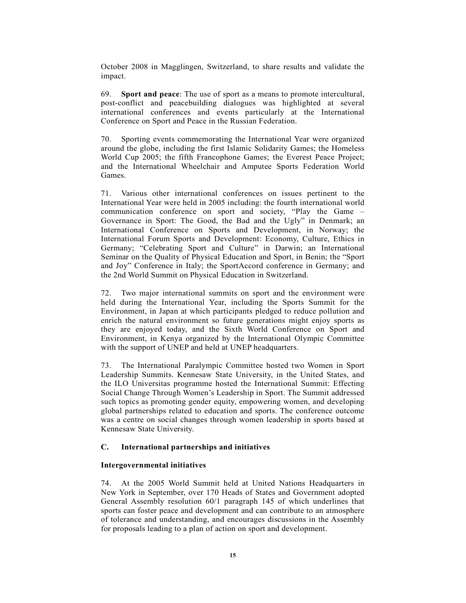October 2008 in Magglingen, Switzerland, to share results and validate the impact.

69. Sport and peace: The use of sport as a means to promote intercultural, post-conflict and peacebuilding dialogues was highlighted at several international conferences and events particularly at the International Conference on Sport and Peace in the Russian Federation.

70. Sporting events commemorating the International Year were organized around the globe, including the first Islamic Solidarity Games; the Homeless World Cup 2005; the fifth Francophone Games; the Everest Peace Project; and the International Wheelchair and Amputee Sports Federation World Games.

71. Various other international conferences on issues pertinent to the International Year were held in 2005 including: the fourth international world communication conference on sport and society, "Play the Game – Governance in Sport: The Good, the Bad and the Ugly" in Denmark; an International Conference on Sports and Development, in Norway; the International Forum Sports and Development: Economy, Culture, Ethics in Germany; "Celebrating Sport and Culture" in Darwin; an International Seminar on the Quality of Physical Education and Sport, in Benin; the "Sport and Joy" Conference in Italy; the SportAccord conference in Germany; and the 2nd World Summit on Physical Education in Switzerland.

72. Two major international summits on sport and the environment were held during the International Year, including the Sports Summit for the Environment, in Japan at which participants pledged to reduce pollution and enrich the natural environment so future generations might enjoy sports as they are enjoyed today, and the Sixth World Conference on Sport and Environment, in Kenya organized by the International Olympic Committee with the support of UNEP and held at UNEP headquarters.

73. The International Paralympic Committee hosted two Women in Sport Leadership Summits. Kennesaw State University, in the United States, and the ILO Universitas programme hosted the International Summit: Effecting Social Change Through Women's Leadership in Sport. The Summit addressed such topics as promoting gender equity, empowering women, and developing global partnerships related to education and sports. The conference outcome was a centre on social changes through women leadership in sports based at Kennesaw State University.

### C. International partnerships and initiatives

# Intergovernmental initiatives

74. At the 2005 World Summit held at United Nations Headquarters in New York in September, over 170 Heads of States and Government adopted General Assembly resolution 60/1 paragraph 145 of which underlines that sports can foster peace and development and can contribute to an atmosphere of tolerance and understanding, and encourages discussions in the Assembly for proposals leading to a plan of action on sport and development.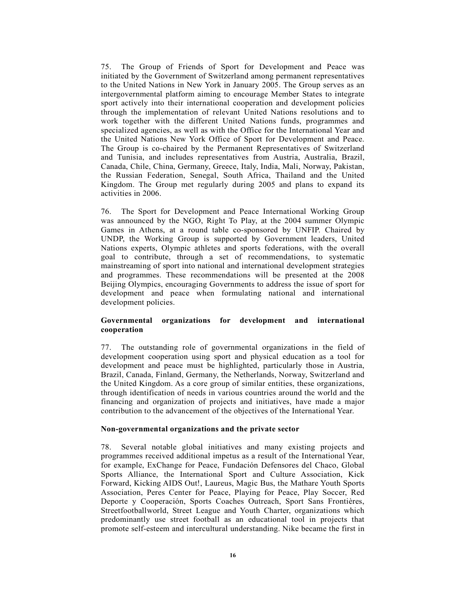75. The Group of Friends of Sport for Development and Peace was initiated by the Government of Switzerland among permanent representatives to the United Nations in New York in January 2005. The Group serves as an intergovernmental platform aiming to encourage Member States to integrate sport actively into their international cooperation and development policies through the implementation of relevant United Nations resolutions and to work together with the different United Nations funds, programmes and specialized agencies, as well as with the Office for the International Year and the United Nations New York Office of Sport for Development and Peace. The Group is co-chaired by the Permanent Representatives of Switzerland and Tunisia, and includes representatives from Austria, Australia, Brazil, Canada, Chile, China, Germany, Greece, Italy, India, Mali, Norway, Pakistan, the Russian Federation, Senegal, South Africa, Thailand and the United Kingdom. The Group met regularly during 2005 and plans to expand its activities in 2006.

76. The Sport for Development and Peace International Working Group was announced by the NGO, Right To Play, at the 2004 summer Olympic Games in Athens, at a round table co-sponsored by UNFIP. Chaired by UNDP, the Working Group is supported by Government leaders, United Nations experts, Olympic athletes and sports federations, with the overall goal to contribute, through a set of recommendations, to systematic mainstreaming of sport into national and international development strategies and programmes. These recommendations will be presented at the 2008 Beijing Olympics, encouraging Governments to address the issue of sport for development and peace when formulating national and international development policies.

### Governmental organizations for development and international cooperation

77. The outstanding role of governmental organizations in the field of development cooperation using sport and physical education as a tool for development and peace must be highlighted, particularly those in Austria, Brazil, Canada, Finland, Germany, the Netherlands, Norway, Switzerland and the United Kingdom. As a core group of similar entities, these organizations, through identification of needs in various countries around the world and the financing and organization of projects and initiatives, have made a major contribution to the advancement of the objectives of the International Year.

#### Non-governmental organizations and the private sector

78. Several notable global initiatives and many existing projects and programmes received additional impetus as a result of the International Year, for example, ExChange for Peace, Fundación Defensores del Chaco, Global Sports Alliance, the International Sport and Culture Association, Kick Forward, Kicking AIDS Out!, Laureus, Magic Bus, the Mathare Youth Sports Association, Peres Center for Peace, Playing for Peace, Play Soccer, Red Deporte y Cooperación, Sports Coaches Outreach, Sport Sans Frontières, Streetfootballworld, Street League and Youth Charter, organizations which predominantly use street football as an educational tool in projects that promote self-esteem and intercultural understanding. Nike became the first in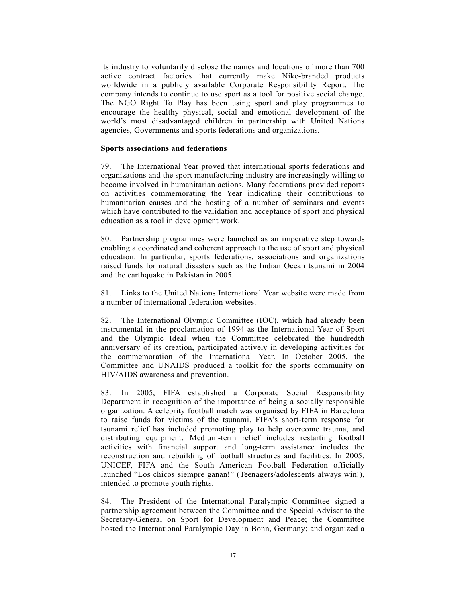its industry to voluntarily disclose the names and locations of more than 700 active contract factories that currently make Nike-branded products worldwide in a publicly available Corporate Responsibility Report. The company intends to continue to use sport as a tool for positive social change. The NGO Right To Play has been using sport and play programmes to encourage the healthy physical, social and emotional development of the world's most disadvantaged children in partnership with United Nations agencies, Governments and sports federations and organizations.

#### Sports associations and federations

79. The International Year proved that international sports federations and organizations and the sport manufacturing industry are increasingly willing to become involved in humanitarian actions. Many federations provided reports on activities commemorating the Year indicating their contributions to humanitarian causes and the hosting of a number of seminars and events which have contributed to the validation and acceptance of sport and physical education as a tool in development work.

80. Partnership programmes were launched as an imperative step towards enabling a coordinated and coherent approach to the use of sport and physical education. In particular, sports federations, associations and organizations raised funds for natural disasters such as the Indian Ocean tsunami in 2004 and the earthquake in Pakistan in 2005.

81. Links to the United Nations International Year website were made from a number of international federation websites.

82. The International Olympic Committee (IOC), which had already been instrumental in the proclamation of 1994 as the International Year of Sport and the Olympic Ideal when the Committee celebrated the hundredth anniversary of its creation, participated actively in developing activities for the commemoration of the International Year. In October 2005, the Committee and UNAIDS produced a toolkit for the sports community on HIV/AIDS awareness and prevention.

83. In 2005, FIFA established a Corporate Social Responsibility Department in recognition of the importance of being a socially responsible organization. A celebrity football match was organised by FIFA in Barcelona to raise funds for victims of the tsunami. FIFA's short-term response for tsunami relief has included promoting play to help overcome trauma, and distributing equipment. Medium-term relief includes restarting football activities with financial support and long-term assistance includes the reconstruction and rebuilding of football structures and facilities. In 2005, UNICEF, FIFA and the South American Football Federation officially launched "Los chicos siempre ganan!" (Teenagers/adolescents always win!), intended to promote youth rights.

84. The President of the International Paralympic Committee signed a partnership agreement between the Committee and the Special Adviser to the Secretary-General on Sport for Development and Peace; the Committee hosted the International Paralympic Day in Bonn, Germany; and organized a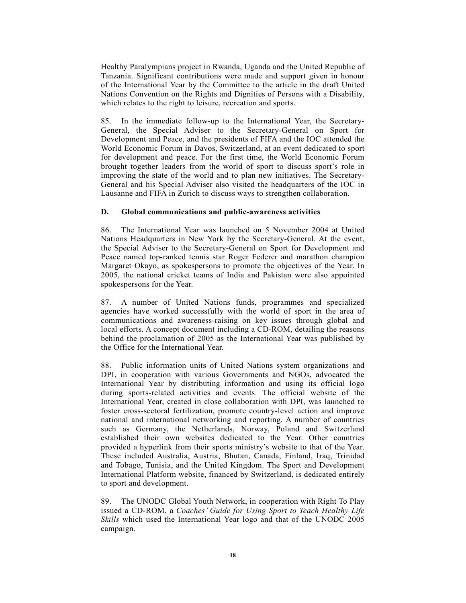Healthy Paralympians project in Rwanda, Uganda and the United Republic of Tanzania. Significant contributions were made and support given in honour of the International Year by the Committee to the article in the draft United Nations Convention on the Rights and Dignities of Persons with a Disability, which relates to the right to leisure, recreation and sports.

85. In the immediate follow-up to the International Year, the Secretary-General, the Special Adviser to the Secretary-General on Sport for Development and Peace, and the presidents of FIFA and the IOC attended the World Economic Forum in Davos, Switzerland, at an event dedicated to sport for development and peace. For the first time, the World Economic Forum brought together leaders from the world of sport to discuss sport's role in improving the state of the world and to plan new initiatives. The Secretary-General and his Special Adviser also visited the headquarters of the IOC in Lausanne and FIFA in Zurich to discuss ways to strengthen collaboration.

### D. Global communications and public-awareness activities

86. The International Year was launched on 5 November 2004 at United Nations Headquarters in New York by the Secretary-General. At the event, the Special Adviser to the Secretary-General on Sport for Development and Peace named top-ranked tennis star Roger Federer and marathon champion Margaret Okayo, as spokespersons to promote the objectives of the Year. In 2005, the national cricket teams of India and Pakistan were also appointed spokespersons for the Year.

87. A number of United Nations funds, programmes and specialized agencies have worked successfully with the world of sport in the area of communications and awareness-raising on key issues through global and local efforts. A concept document including a CD-ROM, detailing the reasons behind the proclamation of 2005 as the International Year was published by the Office for the International Year.

88. Public information units of United Nations system organizations and DPI, in cooperation with various Governments and NGOs, advocated the International Year by distributing information and using its official logo during sports-related activities and events. The official website of the International Year, created in close collaboration with DPI, was launched to foster cross-sectoral fertilization, promote country-level action and improve national and international networking and reporting. A number of countries such as Germany, the Netherlands, Norway, Poland and Switzerland established their own websites dedicated to the Year. Other countries provided a hyperlink from their sports ministry's website to that of the Year. These included Australia, Austria, Bhutan, Canada, Finland, Iraq, Trinidad and Tobago, Tunisia, and the United Kingdom. The Sport and Development International Platform website, financed by Switzerland, is dedicated entirely to sport and development.

89. The UNODC Global Youth Network, in cooperation with Right To Play issued a CD-ROM, a Coaches' Guide for Using Sport to Teach Healthy Life Skills which used the International Year logo and that of the UNODC 2005 campaign.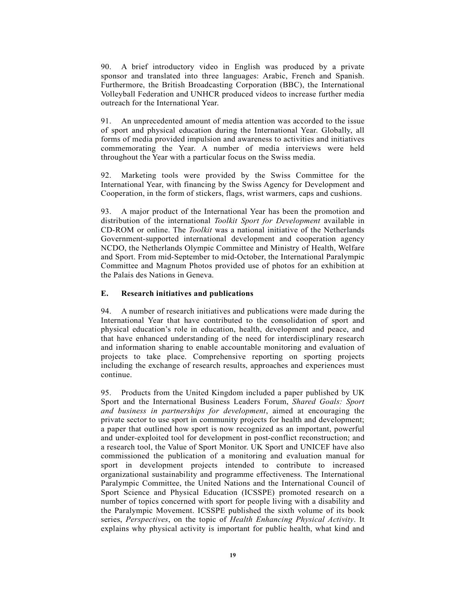90. A brief introductory video in English was produced by a private sponsor and translated into three languages: Arabic, French and Spanish. Furthermore, the British Broadcasting Corporation (BBC), the International Volleyball Federation and UNHCR produced videos to increase further media outreach for the International Year.

91. An unprecedented amount of media attention was accorded to the issue of sport and physical education during the International Year. Globally, all forms of media provided impulsion and awareness to activities and initiatives commemorating the Year. A number of media interviews were held throughout the Year with a particular focus on the Swiss media.

92. Marketing tools were provided by the Swiss Committee for the International Year, with financing by the Swiss Agency for Development and Cooperation, in the form of stickers, flags, wrist warmers, caps and cushions.

93. A major product of the International Year has been the promotion and distribution of the international Toolkit Sport for Development available in CD-ROM or online. The Toolkit was a national initiative of the Netherlands Government-supported international development and cooperation agency NCDO, the Netherlands Olympic Committee and Ministry of Health, Welfare and Sport. From mid-September to mid-October, the International Paralympic Committee and Magnum Photos provided use of photos for an exhibition at the Palais des Nations in Geneva.

# E. Research initiatives and publications

94. A number of research initiatives and publications were made during the International Year that have contributed to the consolidation of sport and physical education's role in education, health, development and peace, and that have enhanced understanding of the need for interdisciplinary research and information sharing to enable accountable monitoring and evaluation of projects to take place. Comprehensive reporting on sporting projects including the exchange of research results, approaches and experiences must continue.

95. Products from the United Kingdom included a paper published by UK Sport and the International Business Leaders Forum, Shared Goals: Sport and business in partnerships for development, aimed at encouraging the private sector to use sport in community projects for health and development; a paper that outlined how sport is now recognized as an important, powerful and under-exploited tool for development in post-conflict reconstruction; and a research tool, the Value of Sport Monitor. UK Sport and UNICEF have also commissioned the publication of a monitoring and evaluation manual for sport in development projects intended to contribute to increased organizational sustainability and programme effectiveness. The International Paralympic Committee, the United Nations and the International Council of Sport Science and Physical Education (ICSSPE) promoted research on a number of topics concerned with sport for people living with a disability and the Paralympic Movement. ICSSPE published the sixth volume of its book series, Perspectives, on the topic of Health Enhancing Physical Activity. It explains why physical activity is important for public health, what kind and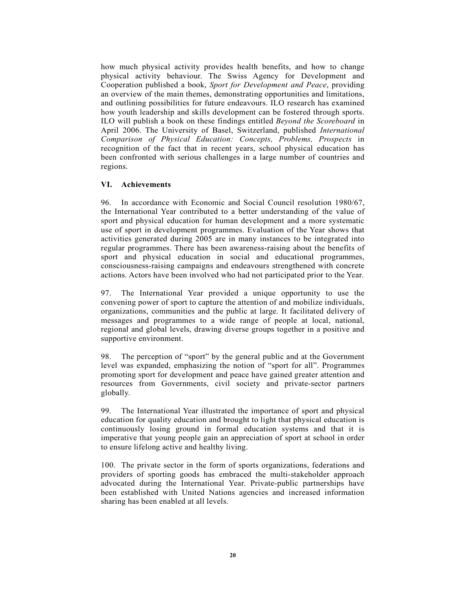how much physical activity provides health benefits, and how to change physical activity behaviour. The Swiss Agency for Development and Cooperation published a book, *Sport for Development and Peace*, providing an overview of the main themes, demonstrating opportunities and limitations, and outlining possibilities for future endeavours. ILO research has examined how youth leadership and skills development can be fostered through sports. ILO will publish a book on these findings entitled Beyond the Scoreboard in April 2006. The University of Basel, Switzerland, published International Comparison of Physical Education: Concepts, Problems, Prospects in recognition of the fact that in recent years, school physical education has been confronted with serious challenges in a large number of countries and regions.

## VI. Achievements

96. In accordance with Economic and Social Council resolution 1980/67, the International Year contributed to a better understanding of the value of sport and physical education for human development and a more systematic use of sport in development programmes. Evaluation of the Year shows that activities generated during 2005 are in many instances to be integrated into regular programmes. There has been awareness-raising about the benefits of sport and physical education in social and educational programmes, consciousness-raising campaigns and endeavours strengthened with concrete actions. Actors have been involved who had not participated prior to the Year.

97. The International Year provided a unique opportunity to use the convening power of sport to capture the attention of and mobilize individuals, organizations, communities and the public at large. It facilitated delivery of messages and programmes to a wide range of people at local, national, regional and global levels, drawing diverse groups together in a positive and supportive environment.

98. The perception of "sport" by the general public and at the Government level was expanded, emphasizing the notion of "sport for all". Programmes promoting sport for development and peace have gained greater attention and resources from Governments, civil society and private-sector partners globally.

99. The International Year illustrated the importance of sport and physical education for quality education and brought to light that physical education is continuously losing ground in formal education systems and that it is imperative that young people gain an appreciation of sport at school in order to ensure lifelong active and healthy living.

100. The private sector in the form of sports organizations, federations and providers of sporting goods has embraced the multi-stakeholder approach advocated during the International Year. Private-public partnerships have been established with United Nations agencies and increased information sharing has been enabled at all levels.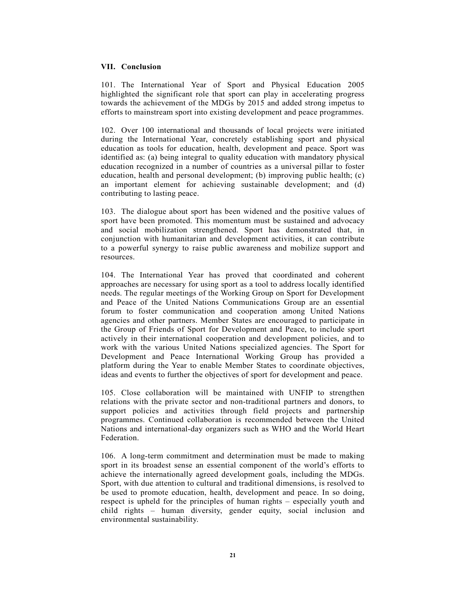#### VII. Conclusion

101. The International Year of Sport and Physical Education 2005 highlighted the significant role that sport can play in accelerating progress towards the achievement of the MDGs by 2015 and added strong impetus to efforts to mainstream sport into existing development and peace programmes.

102. Over 100 international and thousands of local projects were initiated during the International Year, concretely establishing sport and physical education as tools for education, health, development and peace. Sport was identified as: (a) being integral to quality education with mandatory physical education recognized in a number of countries as a universal pillar to foster education, health and personal development; (b) improving public health; (c) an important element for achieving sustainable development; and (d) contributing to lasting peace.

103. The dialogue about sport has been widened and the positive values of sport have been promoted. This momentum must be sustained and advocacy and social mobilization strengthened. Sport has demonstrated that, in conjunction with humanitarian and development activities, it can contribute to a powerful synergy to raise public awareness and mobilize support and resources.

104. The International Year has proved that coordinated and coherent approaches are necessary for using sport as a tool to address locally identified needs. The regular meetings of the Working Group on Sport for Development and Peace of the United Nations Communications Group are an essential forum to foster communication and cooperation among United Nations agencies and other partners. Member States are encouraged to participate in the Group of Friends of Sport for Development and Peace, to include sport actively in their international cooperation and development policies, and to work with the various United Nations specialized agencies. The Sport for Development and Peace International Working Group has provided a platform during the Year to enable Member States to coordinate objectives, ideas and events to further the objectives of sport for development and peace.

105. Close collaboration will be maintained with UNFIP to strengthen relations with the private sector and non-traditional partners and donors, to support policies and activities through field projects and partnership programmes. Continued collaboration is recommended between the United Nations and international-day organizers such as WHO and the World Heart Federation.

106. A long-term commitment and determination must be made to making sport in its broadest sense an essential component of the world's efforts to achieve the internationally agreed development goals, including the MDGs. Sport, with due attention to cultural and traditional dimensions, is resolved to be used to promote education, health, development and peace. In so doing, respect is upheld for the principles of human rights – especially youth and child rights – human diversity, gender equity, social inclusion and environmental sustainability.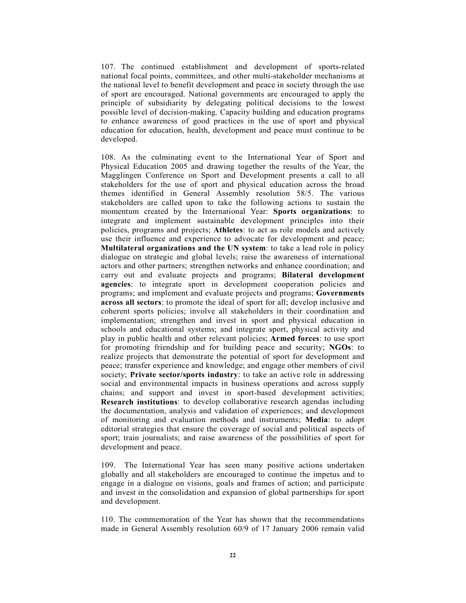107. The continued establishment and development of sports-related national focal points, committees, and other multi-stakeholder mechanisms at the national level to benefit development and peace in society through the use of sport are encouraged. National governments are encouraged to apply the principle of subsidiarity by delegating political decisions to the lowest possible level of decision-making. Capacity building and education programs to enhance awareness of good practices in the use of sport and physical education for education, health, development and peace must continue to be developed.

108. As the culminating event to the International Year of Sport and Physical Education 2005 and drawing together the results of the Year, the Magglingen Conference on Sport and Development presents a call to all stakeholders for the use of sport and physical education across the broad themes identified in General Assembly resolution 58/5. The various stakeholders are called upon to take the following actions to sustain the momentum created by the International Year: Sports organizations: to integrate and implement sustainable development principles into their policies, programs and projects; Athletes: to act as role models and actively use their influence and experience to advocate for development and peace; Multilateral organizations and the UN system: to take a lead role in policy dialogue on strategic and global levels; raise the awareness of international actors and other partners; strengthen networks and enhance coordination; and carry out and evaluate projects and programs; Bilateral development agencies: to integrate sport in development cooperation policies and programs; and implement and evaluate projects and programs; Governments across all sectors: to promote the ideal of sport for all; develop inclusive and coherent sports policies; involve all stakeholders in their coordination and implementation; strengthen and invest in sport and physical education in schools and educational systems; and integrate sport, physical activity and play in public health and other relevant policies; Armed forces: to use sport for promoting friendship and for building peace and security; NGOs: to realize projects that demonstrate the potential of sport for development and peace; transfer experience and knowledge; and engage other members of civil society; Private sector/sports industry: to take an active role in addressing social and environmental impacts in business operations and across supply chains; and support and invest in sport-based development activities; Research institutions: to develop collaborative research agendas including the documentation, analysis and validation of experiences; and development of monitoring and evaluation methods and instruments; Media: to adopt editorial strategies that ensure the coverage of social and political aspects of sport; train journalists; and raise awareness of the possibilities of sport for development and peace.

109. The International Year has seen many positive actions undertaken globally and all stakeholders are encouraged to continue the impetus and to engage in a dialogue on visions, goals and frames of action; and participate and invest in the consolidation and expansion of global partnerships for sport and development.

110. The commemoration of the Year has shown that the recommendations made in General Assembly resolution 60/9 of 17 January 2006 remain valid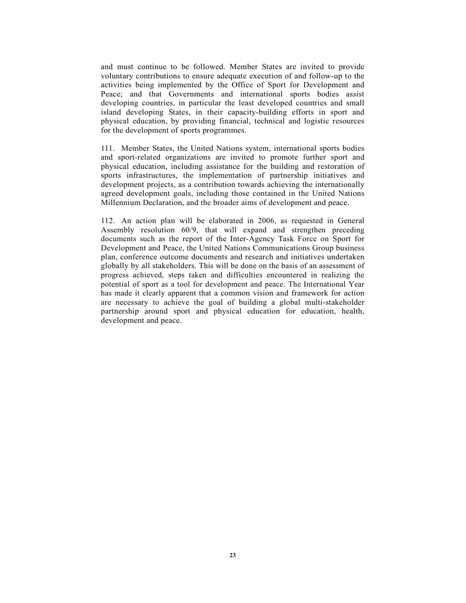and must continue to be followed. Member States are invited to provide voluntary contributions to ensure adequate execution of and follow-up to the activities being implemented by the Office of Sport for Development and Peace; and that Governments and international sports bodies assist developing countries, in particular the least developed countries and small island developing States, in their capacity-building efforts in sport and physical education, by providing financial, technical and logistic resources for the development of sports programmes.

111. Member States, the United Nations system, international sports bodies and sport-related organizations are invited to promote further sport and physical education, including assistance for the building and restoration of sports infrastructures, the implementation of partnership initiatives and development projects, as a contribution towards achieving the internationally agreed development goals, including those contained in the United Nations Millennium Declaration, and the broader aims of development and peace.

112. An action plan will be elaborated in 2006, as requested in General Assembly resolution 60/9, that will expand and strengthen preceding documents such as the report of the Inter-Agency Task Force on Sport for Development and Peace, the United Nations Communications Group business plan, conference outcome documents and research and initiatives undertaken globally by all stakeholders. This will be done on the basis of an assessment of progress achieved, steps taken and difficulties encountered in realizing the potential of sport as a tool for development and peace. The International Year has made it clearly apparent that a common vision and framework for action are necessary to achieve the goal of building a global multi-stakeholder partnership around sport and physical education for education, health, development and peace.